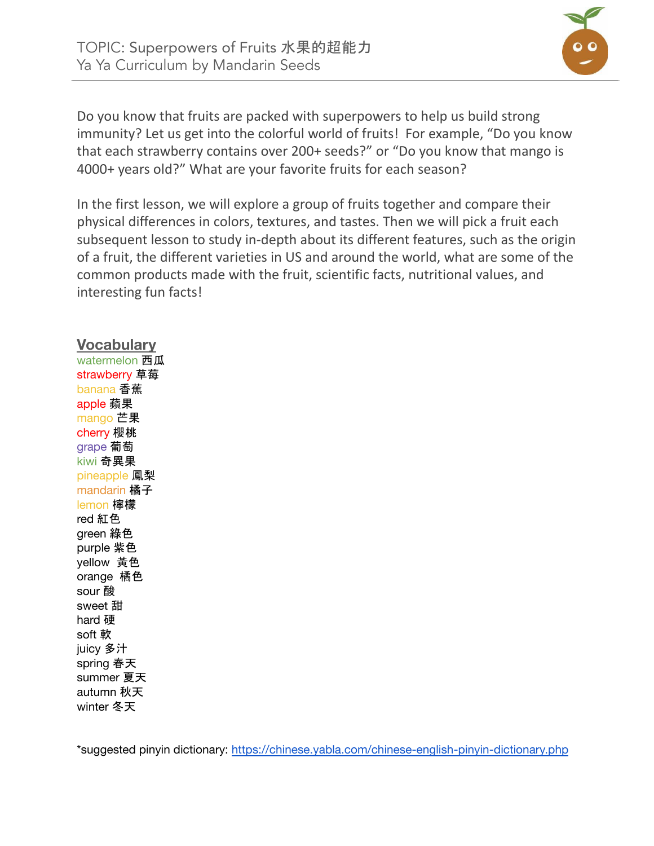Do you know that fruits are packed with superpowers to help us build strong immunity? Let us get into the colorful world of fruits! For example, "Do you know that each strawberry contains over 200+ seeds?" or "Do you know that mango is 4000+ years old?" What are your favorite fruits for each season?

In the first lesson, we will explore a group of fruits together and compare their physical differences in colors, textures, and tastes. Then we will pick a fruit each subsequent lesson to study in-depth about its different features, such as the origin of a fruit, the different varieties in US and around the world, what are some of the common products made with the fruit, scientific facts, nutritional values, and interesting fun facts!

## **Vocabulary**

watermelon **西瓜** strawberry 草莓 banana 香蕉 apple 蘋果 mango 芒果 cherry 櫻桃 grape 葡萄 kiwi 奇異果 pineapple 鳳梨 mandarin 橘子 lemon 檸檬 red 紅色 green 綠色 purple 紫色 yellow 黃色 orange 橘色 sour 酸 sweet 甜 hard 硬 soft 軟 juicy 多汁 spring 春天 summer 夏天 autumn 秋天 winter 冬天

\*suggested pinyin dictionary: <https://chinese.yabla.com/chinese-english-pinyin-dictionary.php>